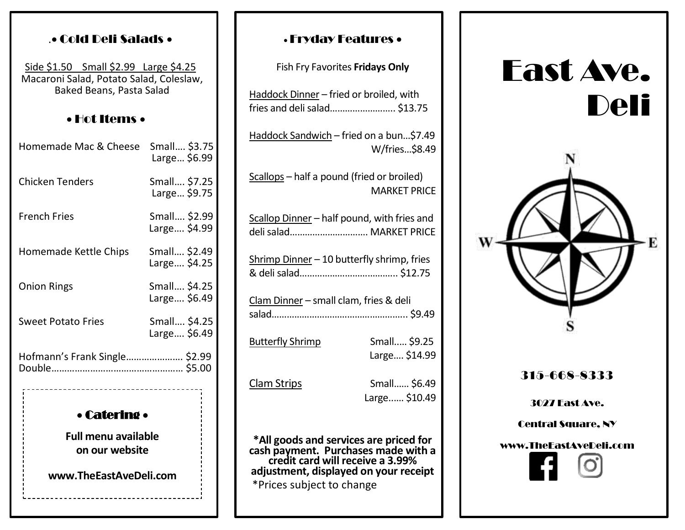### .• Cold Deli Salads •

Side \$1.50 Small \$2.99 Large \$4.25 Macaroni Salad, Potato Salad, Coleslaw, Baked Beans, Pasta Salad

#### • Hot Items •

| Homemade Mac & Cheese             | Small \$3.75<br>Large \$6.99 |
|-----------------------------------|------------------------------|
| <b>Chicken Tenders</b>            | Small \$7.25<br>Large \$9.75 |
| <b>French Fries</b>               | Small \$2.99<br>Large \$4.99 |
| Homemade Kettle Chips             | Small \$2.49<br>Large \$4.25 |
| <b>Onion Rings</b>                | Small \$4.25<br>Large \$6.49 |
| <b>Sweet Potato Fries</b>         | Small \$4.25<br>Large \$6.49 |
| Hofmann's Frank Single \$2.99     |                              |
| --------------------------------- |                              |

# • Catering •

**Full menu available on our website**

**www.TheEastAveDeli.com**

#### • Fryday Features •

Fish Fry Favorites **Fridays Only**

| Haddock Dinner - fried or broiled, with<br>fries and deli salad \$13.75 |                               |  |
|-------------------------------------------------------------------------|-------------------------------|--|
| Haddock Sandwich - fried on a bun\$7.49                                 | W/fries\$8.49                 |  |
| Scallops - half a pound (fried or broiled)                              | <b>MARKET PRICE</b>           |  |
| Scallop Dinner - half pound, with fries and<br>deli salad MARKET PRICE  |                               |  |
| Shrimp Dinner - 10 butterfly shrimp, fries                              |                               |  |
| Clam Dinner - small clam, fries & deli                                  |                               |  |
| <b>Butterfly Shrimp</b>                                                 | Small \$9.25<br>Large \$14.99 |  |
| <b>Clam Strips</b>                                                      | Small \$6.49<br>Large \$10.49 |  |
| *All goods and services are priced for                                  |                               |  |

**\*All goods and services are priced for cash payment. Purchases made with a credit card will receive a 3.99% adjustment, displayed on your receipt** \*Prices subject to change

# East Ave. Deli  $\Box$ ·E

315-668-8333

3027 East Ave.

Central Square, NY

#### www.TheEastAveDeli.com